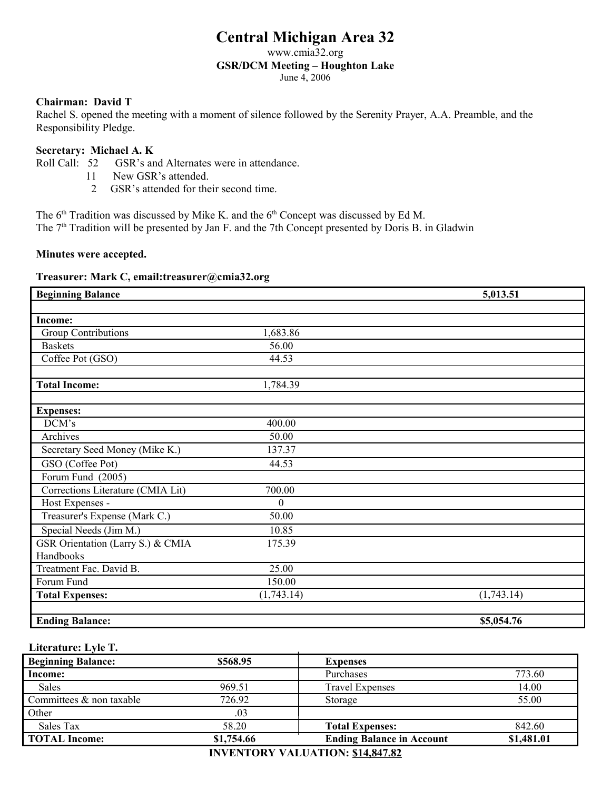# **Central Michigan Area 32**

www.cmia32.org

#### **GSR/DCM Meeting – Houghton Lake**

June 4, 2006

# **Chairman: David T**

Rachel S. opened the meeting with a moment of silence followed by the Serenity Prayer, A.A. Preamble, and the Responsibility Pledge.

# **Secretary: Michael A. K**

- Roll Call: 52 GSR's and Alternates were in attendance.
	- 11 New GSR's attended.
		- 2 GSR's attended for their second time.

The  $6<sup>th</sup>$  Tradition was discussed by Mike K. and the  $6<sup>th</sup>$  Concept was discussed by Ed M.

The 7<sup>th</sup> Tradition will be presented by Jan F. and the 7th Concept presented by Doris B. in Gladwin

# **Minutes were accepted.**

# **Treasurer: Mark C, email:treasurer@cmia32.org**

| <b>Beginning Balance</b>          |              | 5,013.51   |
|-----------------------------------|--------------|------------|
|                                   |              |            |
| Income:                           |              |            |
| <b>Group Contributions</b>        | 1,683.86     |            |
| <b>Baskets</b>                    | 56.00        |            |
| Coffee Pot (GSO)                  | 44.53        |            |
| <b>Total Income:</b>              | 1,784.39     |            |
|                                   |              |            |
| <b>Expenses:</b>                  |              |            |
| DCM's                             | 400.00       |            |
| Archives                          | 50.00        |            |
| Secretary Seed Money (Mike K.)    | 137.37       |            |
| GSO (Coffee Pot)                  | 44.53        |            |
| Forum Fund (2005)                 |              |            |
| Corrections Literature (CMIA Lit) | 700.00       |            |
| Host Expenses -                   | $\mathbf{0}$ |            |
| Treasurer's Expense (Mark C.)     | 50.00        |            |
| Special Needs (Jim M.)            | 10.85        |            |
| GSR Orientation (Larry S.) & CMIA | 175.39       |            |
| Handbooks                         |              |            |
| Treatment Fac. David B.           | 25.00        |            |
| Forum Fund                        | 150.00       |            |
| <b>Total Expenses:</b>            | (1,743.14)   | (1,743.14) |
|                                   |              |            |
| <b>Ending Balance:</b>            |              | \$5,054.76 |

# **Literature: Lyle T.**

| <b>Beginning Balance:</b> | \$568.95   | <b>Expenses</b>                  |            |
|---------------------------|------------|----------------------------------|------------|
| Income:                   |            | Purchases                        | 773.60     |
| Sales                     | 969.51     | <b>Travel Expenses</b>           | 14.00      |
| Committees & non taxable  | 726.92     | Storage                          | 55.00      |
| Other                     | .03        |                                  |            |
| Sales Tax                 | 58.20      | <b>Total Expenses:</b>           | 842.60     |
| <b>TOTAL Income:</b>      | \$1,754.66 | <b>Ending Balance in Account</b> | \$1,481.01 |

**INVENTORY VALUATION: \$14,847.82**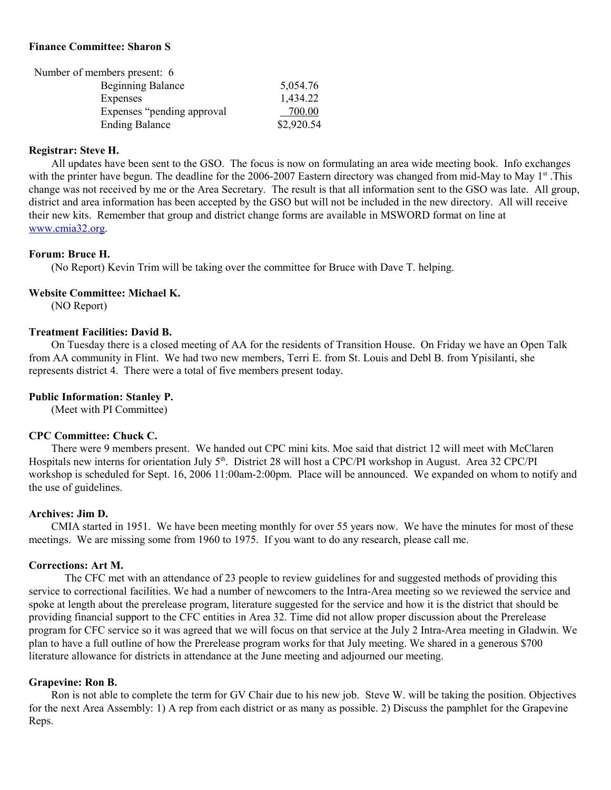# **Finance Committee: Sharon S**

| Number of members present: 6 |            |
|------------------------------|------------|
| <b>Beginning Balance</b>     | 5,054.76   |
| Expenses                     | 1,434.22   |
| Expenses "pending approval"  | 700.00     |
| <b>Ending Balance</b>        | \$2,920.54 |

#### **Registrar: Steve H.**

All updates have been sent to the GSO. The focus is now on formulating an area wide meeting book. Info exchanges with the printer have begun. The deadline for the 2006-2007 Eastern directory was changed from mid-May to May 1<sup>st</sup>. This change was not received by me or the Area Secretary. The result is that all information sent to the GSO was late. All group, district and area information has been accepted by the GSO but will not be included in the new directory. All will receive their new kits. Remember that group and district change forms are available in MSWORD format on line at [www.cmia32.org.](http://www.cmia32.org/)

# **Forum: Bruce H.**

(No Report) Kevin Trim will be taking over the committee for Bruce with Dave T. helping.

# **Website Committee: Michael K.**

(NO Report)

# **Treatment Facilities: David B.**

On Tuesday there is a closed meeting of AA for the residents of Transition House. On Friday we have an Open Talk from AA community in Flint. We had two new members, Terri E. from St. Louis and Debl B. from Ypisilanti, she represents district 4. There were a total of five members present today.

# **Public Information: Stanley P.**

(Meet with PI Committee)

#### **CPC Committee: Chuck C.**

There were 9 members present. We handed out CPC mini kits. Moe said that district 12 will meet with McClaren Hospitals new interns for orientation July 5<sup>th</sup>. District 28 will host a CPC/PI workshop in August. Area 32 CPC/PI workshop is scheduled for Sept. 16, 2006 11:00am-2:00pm. Place will be announced. We expanded on whom to notify and the use of guidelines.

#### **Archives: Jim D.**

CMIA started in 1951. We have been meeting monthly for over 55 years now. We have the minutes for most of these meetings. We are missing some from 1960 to 1975. If you want to do any research, please call me.

#### **Corrections: Art M.**

The CFC met with an attendance of 23 people to review guidelines for and suggested methods of providing this service to correctional facilities. We had a number of newcomers to the Intra-Area meeting so we reviewed the service and spoke at length about the prerelease program, literature suggested for the service and how it is the district that should be providing financial support to the CFC entities in Area 32. Time did not allow proper discussion about the Prerelease program for CFC service so it was agreed that we will focus on that service at the July 2 Intra-Area meeting in Gladwin. We plan to have a full outline of how the Prerelease program works for that July meeting. We shared in a generous \$700 literature allowance for districts in attendance at the June meeting and adjourned our meeting.

# **Grapevine: Ron B.**

Ron is not able to complete the term for GV Chair due to his new job. Steve W. will be taking the position. Objectives for the next Area Assembly: 1) A rep from each district or as many as possible. 2) Discuss the pamphlet for the Grapevine Reps.